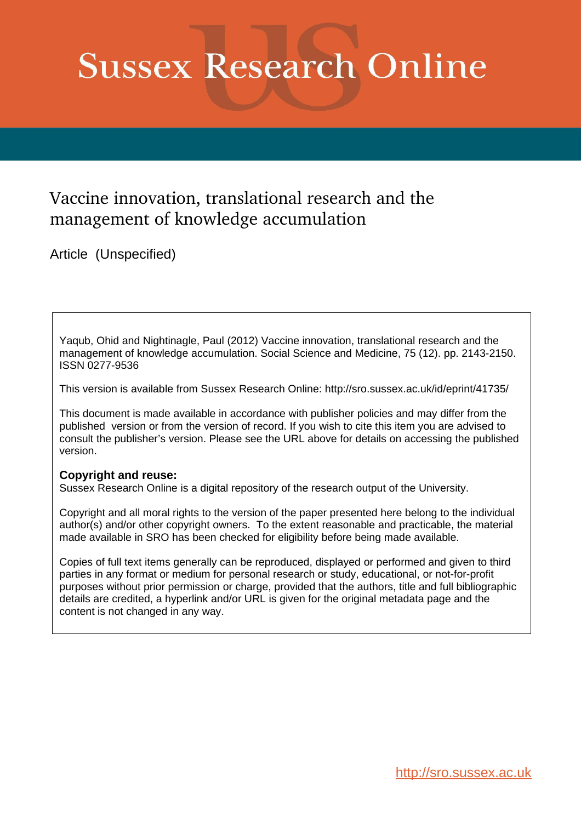# **Sussex Research Online**

# Vaccine innovation, translational research and the management of knowledge accumulation

Article (Unspecified)

Yaqub, Ohid and Nightinagle, Paul (2012) Vaccine innovation, translational research and the management of knowledge accumulation. Social Science and Medicine, 75 (12). pp. 2143-2150. ISSN 0277-9536

This version is available from Sussex Research Online: http://sro.sussex.ac.uk/id/eprint/41735/

This document is made available in accordance with publisher policies and may differ from the published version or from the version of record. If you wish to cite this item you are advised to consult the publisher's version. Please see the URL above for details on accessing the published version.

### **Copyright and reuse:**

Sussex Research Online is a digital repository of the research output of the University.

Copyright and all moral rights to the version of the paper presented here belong to the individual author(s) and/or other copyright owners. To the extent reasonable and practicable, the material made available in SRO has been checked for eligibility before being made available.

Copies of full text items generally can be reproduced, displayed or performed and given to third parties in any format or medium for personal research or study, educational, or not-for-profit purposes without prior permission or charge, provided that the authors, title and full bibliographic details are credited, a hyperlink and/or URL is given for the original metadata page and the content is not changed in any way.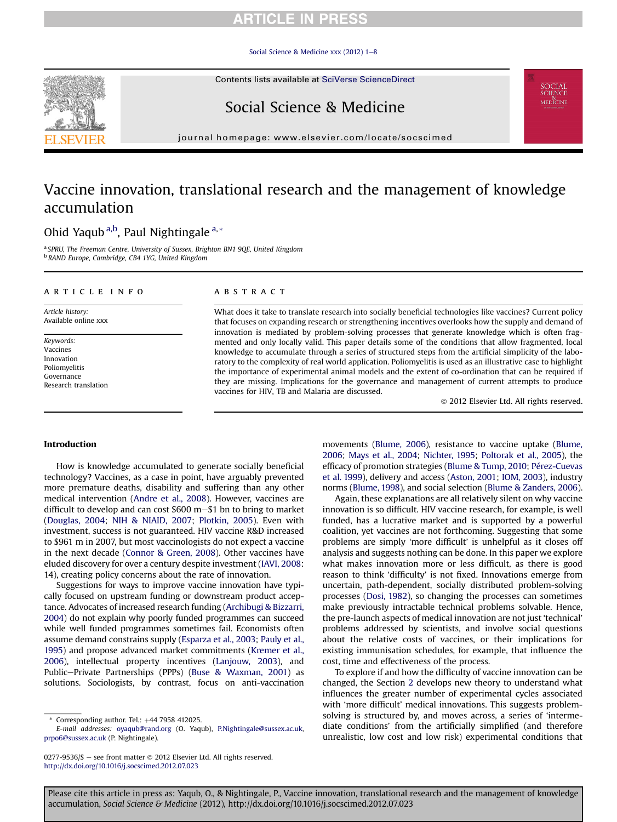# **ARTICLE IN PRESS**

[Social Science & Medicine xxx \(2012\) 1](http://dx.doi.org/10.1016/j.socscimed.2012.07.023)-[8](http://dx.doi.org/10.1016/j.socscimed.2012.07.023)

Contents lists available at [SciVerse ScienceDirect](www.sciencedirect.com/science/journal/02779536)



# Social Science & Medicine

journal homepage: [www.elsevier.com/locate/socscimed](http://www.elsevier.com/locate/socscimed)

# Vaccine innovation, translational research and the management of knowledge accumulation

Ohid Yaqub<sup>a,b</sup>, Paul Nightingale<sup>a,\*</sup>

<sup>a</sup> SPRU, The Freeman Centre, University of Sussex, Brighton BN1 9QE, United Kingdom <sup>b</sup> RAND Europe, Cambridge, CB4 1YG, United Kingdom

#### article info

Article history: Available online xxx

Keywords: Vaccines Innovation Poliomyelitis Governance Research translation

#### **ABSTRACT**

What does it take to translate research into socially beneficial technologies like vaccines? Current policy that focuses on expanding research or strengthening incentives overlooks how the supply and demand of innovation is mediated by problem-solving processes that generate knowledge which is often fragmented and only locally valid. This paper details some of the conditions that allow fragmented, local knowledge to accumulate through a series of structured steps from the artificial simplicity of the laboratory to the complexity of real world application. Poliomyelitis is used as an illustrative case to highlight the importance of experimental animal models and the extent of co-ordination that can be required if they are missing. Implications for the governance and management of current attempts to produce vaccines for HIV, TB and Malaria are discussed.

2012 Elsevier Ltd. All rights reserved.

**SOCIAL**<br>SCIENCE MEDICINE

#### Introduction

How is knowledge accumulated to generate socially beneficial technology? Vaccines, as a case in point, have arguably prevented more premature deaths, disability and suffering than any other medical intervention ([Andre et al., 2008](#page-7-0)). However, vaccines are difficult to develop and can cost  $$600 m-$1$  bn to bring to market ([Douglas, 2004](#page-7-0); [NIH & NIAID, 2007](#page-8-0); [Plotkin, 2005](#page-8-0)). Even with investment, success is not guaranteed. HIV vaccine R&D increased to \$961 m in 2007, but most vaccinologists do not expect a vaccine in the next decade [\(Connor & Green, 2008](#page-7-0)). Other vaccines have eluded discovery for over a century despite investment [\(IAVI, 2008:](#page-7-0) 14), creating policy concerns about the rate of innovation.

Suggestions for ways to improve vaccine innovation have typically focused on upstream funding or downstream product acceptance. Advocates of increased research funding [\(Archibugi & Bizzarri,](#page-7-0) [2004\)](#page-7-0) do not explain why poorly funded programmes can succeed while well funded programmes sometimes fail. Economists often assume demand constrains supply [\(Esparza et al., 2003;](#page-7-0) [Pauly et al.,](#page-8-0) [1995\)](#page-8-0) and propose advanced market commitments [\(Kremer et al.,](#page-7-0) [2006\)](#page-7-0), intellectual property incentives ([Lanjouw, 2003\)](#page-7-0), and Public-Private Partnerships (PPPs) [\(Buse & Waxman, 2001\)](#page-7-0) as solutions. Sociologists, by contrast, focus on anti-vaccination movements [\(Blume, 2006](#page-7-0)), resistance to vaccine uptake [\(Blume,](#page-7-0) [2006;](#page-7-0) [Mays et al., 2004;](#page-7-0) [Nichter, 1995;](#page-8-0) [Poltorak et al., 2005](#page-8-0)), the efficacy of promotion strategies [\(Blume & Tump, 2010](#page-7-0); [Pérez-Cuevas](#page-8-0) [et al. 1999\)](#page-8-0), delivery and access [\(Aston, 2001](#page-7-0); [IOM, 2003\)](#page-7-0), industry norms ([Blume, 1998](#page-7-0)), and social selection ([Blume & Zanders, 2006\)](#page-7-0).

Again, these explanations are all relatively silent on why vaccine innovation is so difficult. HIV vaccine research, for example, is well funded, has a lucrative market and is supported by a powerful coalition, yet vaccines are not forthcoming. Suggesting that some problems are simply 'more difficult' is unhelpful as it closes off analysis and suggests nothing can be done. In this paper we explore what makes innovation more or less difficult, as there is good reason to think 'difficulty' is not fixed. Innovations emerge from uncertain, path-dependent, socially distributed problem-solving processes ([Dosi, 1982](#page-7-0)), so changing the processes can sometimes make previously intractable technical problems solvable. Hence, the pre-launch aspects of medical innovation are not just 'technical' problems addressed by scientists, and involve social questions about the relative costs of vaccines, or their implications for existing immunisation schedules, for example, that influence the cost, time and effectiveness of the process.

To explore if and how the difficulty of vaccine innovation can be changed, the Section [2](#page-2-0) develops new theory to understand what influences the greater number of experimental cycles associated with 'more difficult' medical innovations. This suggests problemsolving is structured by, and moves across, a series of 'intermediate conditions' from the artificially simplified (and therefore unrealistic, low cost and low risk) experimental conditions that

Corresponding author. Tel.:  $+44$  7958 412025.

E-mail addresses: [oyaqub@rand.org](mailto:oyaqub@rand.org) (O. Yaqub), [P.Nightingale@sussex.ac.uk](mailto:P.Nightingale@sussex.ac.uk), [prpo6@sussex.ac.uk](mailto:prpo6@sussex.ac.uk) (P. Nightingale).

<sup>0277-9536/\$</sup>  $-$  see front matter  $\odot$  2012 Elsevier Ltd. All rights reserved. <http://dx.doi.org/10.1016/j.socscimed.2012.07.023>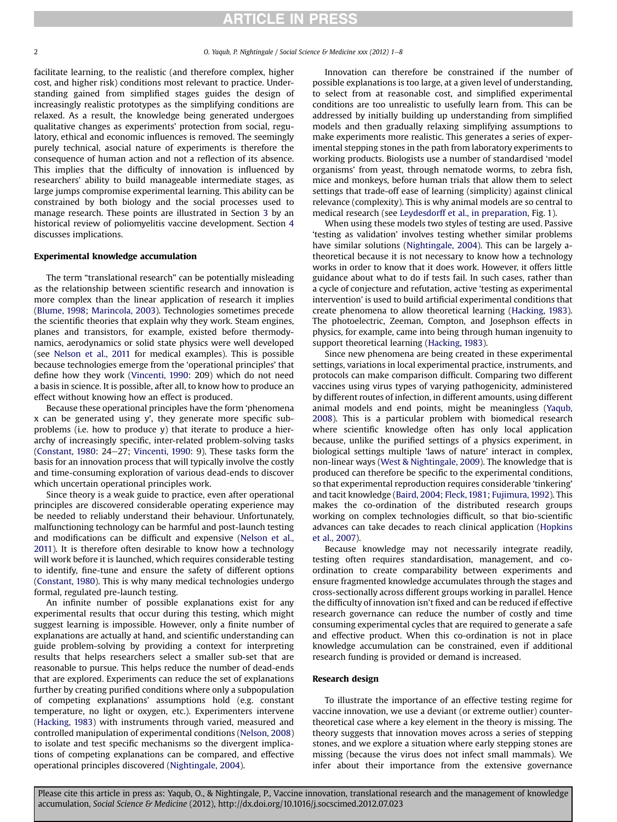<span id="page-2-0"></span>

facilitate learning, to the realistic (and therefore complex, higher cost, and higher risk) conditions most relevant to practice. Understanding gained from simplified stages guides the design of increasingly realistic prototypes as the simplifying conditions are relaxed. As a result, the knowledge being generated undergoes qualitative changes as experiments' protection from social, regulatory, ethical and economic influences is removed. The seemingly purely technical, asocial nature of experiments is therefore the consequence of human action and not a reflection of its absence. This implies that the difficulty of innovation is influenced by researchers' ability to build manageable intermediate stages, as large jumps compromise experimental learning. This ability can be constrained by both biology and the social processes used to manage research. These points are illustrated in Section 3 by an historical review of poliomyelitis vaccine development. Section [4](#page-3-0) discusses implications.

#### Experimental knowledge accumulation

The term "translational research" can be potentially misleading as the relationship between scientific research and innovation is more complex than the linear application of research it implies ([Blume, 1998;](#page-7-0) [Marincola, 2003](#page-7-0)). Technologies sometimes precede the scientific theories that explain why they work. Steam engines, planes and transistors, for example, existed before thermodynamics, aerodynamics or solid state physics were well developed (see [Nelson et al., 2011](#page-7-0) for medical examples). This is possible because technologies emerge from the 'operational principles' that define how they work ([Vincenti, 1990:](#page-8-0) 209) which do not need a basis in science. It is possible, after all, to know how to produce an effect without knowing how an effect is produced.

Because these operational principles have the form 'phenomena x can be generated using y', they generate more specific subproblems (i.e. how to produce y) that iterate to produce a hierarchy of increasingly specific, inter-related problem-solving tasks ([Constant, 1980](#page-7-0):  $24-27$ ; [Vincenti, 1990:](#page-8-0) 9). These tasks form the basis for an innovation process that will typically involve the costly and time-consuming exploration of various dead-ends to discover which uncertain operational principles work.

Since theory is a weak guide to practice, even after operational principles are discovered considerable operating experience may be needed to reliably understand their behaviour. Unfortunately, malfunctioning technology can be harmful and post-launch testing and modifications can be difficult and expensive [\(Nelson et al.,](#page-7-0) [2011\)](#page-7-0). It is therefore often desirable to know how a technology will work before it is launched, which requires considerable testing to identify, fine-tune and ensure the safety of different options ([Constant, 1980\)](#page-7-0). This is why many medical technologies undergo formal, regulated pre-launch testing.

An infinite number of possible explanations exist for any experimental results that occur during this testing, which might suggest learning is impossible. However, only a finite number of explanations are actually at hand, and scientific understanding can guide problem-solving by providing a context for interpreting results that helps researchers select a smaller sub-set that are reasonable to pursue. This helps reduce the number of dead-ends that are explored. Experiments can reduce the set of explanations further by creating purified conditions where only a subpopulation of competing explanations' assumptions hold (e.g. constant temperature, no light or oxygen, etc.). Experimenters intervene ([Hacking, 1983\)](#page-7-0) with instruments through varied, measured and controlled manipulation of experimental conditions ([Nelson, 2008\)](#page-7-0) to isolate and test specific mechanisms so the divergent implications of competing explanations can be compared, and effective operational principles discovered [\(Nightingale, 2004\)](#page-8-0).

Innovation can therefore be constrained if the number of possible explanations is too large, at a given level of understanding, to select from at reasonable cost, and simplified experimental conditions are too unrealistic to usefully learn from. This can be addressed by initially building up understanding from simplified models and then gradually relaxing simplifying assumptions to make experiments more realistic. This generates a series of experimental stepping stones in the path from laboratory experiments to working products. Biologists use a number of standardised 'model organisms' from yeast, through nematode worms, to zebra fish, mice and monkeys, before human trials that allow them to select settings that trade-off ease of learning (simplicity) against clinical relevance (complexity). This is why animal models are so central to medical research (see [Leydesdorff et al., in preparation](#page-7-0), Fig. 1).

When using these models two styles of testing are used. Passive 'testing as validation' involves testing whether similar problems have similar solutions ([Nightingale, 2004\)](#page-8-0). This can be largely atheoretical because it is not necessary to know how a technology works in order to know that it does work. However, it offers little guidance about what to do if tests fail. In such cases, rather than a cycle of conjecture and refutation, active 'testing as experimental intervention' is used to build artificial experimental conditions that create phenomena to allow theoretical learning [\(Hacking, 1983\)](#page-7-0). The photoelectric, Zeeman, Compton, and Josephson effects in physics, for example, came into being through human ingenuity to support theoretical learning [\(Hacking, 1983](#page-7-0)).

Since new phenomena are being created in these experimental settings, variations in local experimental practice, instruments, and protocols can make comparison difficult. Comparing two different vaccines using virus types of varying pathogenicity, administered by different routes of infection, in different amounts, using different animal models and end points, might be meaningless ([Yaqub,](#page-8-0) [2008](#page-8-0)). This is a particular problem with biomedical research where scientific knowledge often has only local application because, unlike the purified settings of a physics experiment, in biological settings multiple 'laws of nature' interact in complex, non-linear ways ([West & Nightingale, 2009](#page-8-0)). The knowledge that is produced can therefore be specific to the experimental conditions, so that experimental reproduction requires considerable 'tinkering' and tacit knowledge [\(Baird, 2004](#page-7-0); [Fleck, 1981;](#page-7-0) [Fujimura, 1992\)](#page-7-0). This makes the co-ordination of the distributed research groups working on complex technologies difficult, so that bio-scientific advances can take decades to reach clinical application ([Hopkins](#page-7-0) [et al., 2007\)](#page-7-0).

Because knowledge may not necessarily integrate readily, testing often requires standardisation, management, and coordination to create comparability between experiments and ensure fragmented knowledge accumulates through the stages and cross-sectionally across different groups working in parallel. Hence the difficulty of innovation isn't fixed and can be reduced if effective research governance can reduce the number of costly and time consuming experimental cycles that are required to generate a safe and effective product. When this co-ordination is not in place knowledge accumulation can be constrained, even if additional research funding is provided or demand is increased.

#### Research design

To illustrate the importance of an effective testing regime for vaccine innovation, we use a deviant (or extreme outlier) countertheoretical case where a key element in the theory is missing. The theory suggests that innovation moves across a series of stepping stones, and we explore a situation where early stepping stones are missing (because the virus does not infect small mammals). We infer about their importance from the extensive governance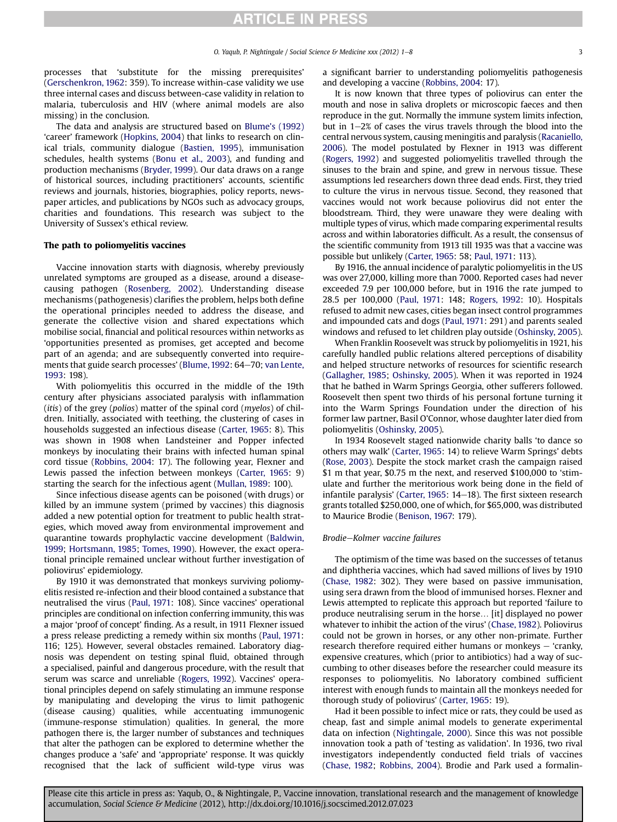<span id="page-3-0"></span>processes that 'substitute for the missing prerequisites' ([Gerschenkron, 1962](#page-7-0): 359). To increase within-case validity we use three internal cases and discuss between-case validity in relation to malaria, tuberculosis and HIV (where animal models are also missing) in the conclusion.

The data and analysis are structured based on Blume'[s \(1992\)](#page-7-0) 'career' framework ([Hopkins, 2004\)](#page-7-0) that links to research on clinical trials, community dialogue [\(Bastien, 1995](#page-7-0)), immunisation schedules, health systems [\(Bonu et al., 2003\)](#page-7-0), and funding and production mechanisms [\(Bryder, 1999](#page-7-0)). Our data draws on a range of historical sources, including practitioners' accounts, scientific reviews and journals, histories, biographies, policy reports, newspaper articles, and publications by NGOs such as advocacy groups, charities and foundations. This research was subject to the University of Sussex's ethical review.

#### The path to poliomyelitis vaccines

Vaccine innovation starts with diagnosis, whereby previously unrelated symptoms are grouped as a disease, around a diseasecausing pathogen ([Rosenberg, 2002](#page-8-0)). Understanding disease mechanisms (pathogenesis) clarifies the problem, helps both define the operational principles needed to address the disease, and generate the collective vision and shared expectations which mobilise social, financial and political resources within networks as 'opportunities presented as promises, get accepted and become part of an agenda; and are subsequently converted into require-ments that guide search processes' [\(Blume, 1992:](#page-7-0) 64–70; [van Lente,](#page-7-0) [1993:](#page-7-0) 198).

With poliomyelitis this occurred in the middle of the 19th century after physicians associated paralysis with inflammation (itis) of the grey (polios) matter of the spinal cord (myelos) of children. Initially, associated with teething, the clustering of cases in households suggested an infectious disease [\(Carter, 1965:](#page-7-0) 8). This was shown in 1908 when Landsteiner and Popper infected monkeys by inoculating their brains with infected human spinal cord tissue [\(Robbins, 2004](#page-8-0): 17). The following year, Flexner and Lewis passed the infection between monkeys ([Carter, 1965:](#page-7-0) 9) starting the search for the infectious agent ([Mullan, 1989](#page-7-0): 100).

Since infectious disease agents can be poisoned (with drugs) or killed by an immune system (primed by vaccines) this diagnosis added a new potential option for treatment to public health strategies, which moved away from environmental improvement and quarantine towards prophylactic vaccine development ([Baldwin,](#page-7-0) [1999;](#page-7-0) [Hortsmann, 1985;](#page-7-0) [Tomes, 1990\)](#page-8-0). However, the exact operational principle remained unclear without further investigation of poliovirus' epidemiology.

By 1910 it was demonstrated that monkeys surviving poliomyelitis resisted re-infection and their blood contained a substance that neutralised the virus [\(Paul, 1971](#page-8-0): 108). Since vaccines' operational principles are conditional on infection conferring immunity, this was a major 'proof of concept' finding. As a result, in 1911 Flexner issued a press release predicting a remedy within six months [\(Paul, 1971:](#page-8-0) 116; 125). However, several obstacles remained. Laboratory diagnosis was dependent on testing spinal fluid, obtained through a specialised, painful and dangerous procedure, with the result that serum was scarce and unreliable [\(Rogers, 1992](#page-8-0)). Vaccines' operational principles depend on safely stimulating an immune response by manipulating and developing the virus to limit pathogenic (disease causing) qualities, while accentuating immunogenic (immune-response stimulation) qualities. In general, the more pathogen there is, the larger number of substances and techniques that alter the pathogen can be explored to determine whether the changes produce a 'safe' and 'appropriate' response. It was quickly recognised that the lack of sufficient wild-type virus was a significant barrier to understanding poliomyelitis pathogenesis and developing a vaccine ([Robbins, 2004:](#page-8-0) 17).

It is now known that three types of poliovirus can enter the mouth and nose in saliva droplets or microscopic faeces and then reproduce in the gut. Normally the immune system limits infection, but in  $1-2\%$  of cases the virus travels through the blood into the central nervous system, causing meningitis and paralysis ([Racaniello,](#page-8-0) [2006\)](#page-8-0). The model postulated by Flexner in 1913 was different [\(Rogers, 1992\)](#page-8-0) and suggested poliomyelitis travelled through the sinuses to the brain and spine, and grew in nervous tissue. These assumptions led researchers down three dead ends. First, they tried to culture the virus in nervous tissue. Second, they reasoned that vaccines would not work because poliovirus did not enter the bloodstream. Third, they were unaware they were dealing with multiple types of virus, which made comparing experimental results across and within laboratories difficult. As a result, the consensus of the scientific community from 1913 till 1935 was that a vaccine was possible but unlikely [\(Carter, 1965](#page-7-0): 58; [Paul, 1971](#page-8-0): 113).

By 1916, the annual incidence of paralytic poliomyelitis in the US was over 27,000, killing more than 7000. Reported cases had never exceeded 7.9 per 100,000 before, but in 1916 the rate jumped to 28.5 per 100,000 [\(Paul, 1971:](#page-8-0) 148; [Rogers, 1992:](#page-8-0) 10). Hospitals refused to admit new cases, cities began insect control programmes and impounded cats and dogs ([Paul, 1971:](#page-8-0) 291) and parents sealed windows and refused to let children play outside [\(Oshinsky, 2005\)](#page-8-0).

When Franklin Roosevelt was struck by poliomyelitis in 1921, his carefully handled public relations altered perceptions of disability and helped structure networks of resources for scientific research ([Gallagher, 1985](#page-7-0); [Oshinsky, 2005\)](#page-8-0). When it was reported in 1924 that he bathed in Warm Springs Georgia, other sufferers followed. Roosevelt then spent two thirds of his personal fortune turning it into the Warm Springs Foundation under the direction of his former law partner, Basil O'Connor, whose daughter later died from poliomyelitis ([Oshinsky, 2005\)](#page-8-0).

In 1934 Roosevelt staged nationwide charity balls 'to dance so others may walk' ([Carter, 1965:](#page-7-0) 14) to relieve Warm Springs' debts ([Rose, 2003\)](#page-8-0). Despite the stock market crash the campaign raised \$1 m that year, \$0.75 m the next, and reserved \$100,000 to 'stimulate and further the meritorious work being done in the field of infantile paralysis' ([Carter, 1965:](#page-7-0) 14-18). The first sixteen research grants totalled \$250,000, one of which, for \$65,000, was distributed to Maurice Brodie ([Benison, 1967:](#page-7-0) 179).

#### Brodie-Kolmer vaccine failures

The optimism of the time was based on the successes of tetanus and diphtheria vaccines, which had saved millions of lives by 1910 ([Chase, 1982:](#page-7-0) 302). They were based on passive immunisation, using sera drawn from the blood of immunised horses. Flexner and Lewis attempted to replicate this approach but reported 'failure to produce neutralising serum in the horse... [it] displayed no power whatever to inhibit the action of the virus' [\(Chase, 1982](#page-7-0)). Poliovirus could not be grown in horses, or any other non-primate. Further research therefore required either humans or monkeys  $-$  'cranky, expensive creatures, which (prior to antibiotics) had a way of succumbing to other diseases before the researcher could measure its responses to poliomyelitis. No laboratory combined sufficient interest with enough funds to maintain all the monkeys needed for thorough study of poliovirus' [\(Carter, 1965](#page-7-0): 19).

Had it been possible to infect mice or rats, they could be used as cheap, fast and simple animal models to generate experimental data on infection ([Nightingale, 2000\)](#page-8-0). Since this was not possible innovation took a path of 'testing as validation'. In 1936, two rival investigators independently conducted field trials of vaccines ([Chase, 1982](#page-7-0); [Robbins, 2004\)](#page-8-0). Brodie and Park used a formalin-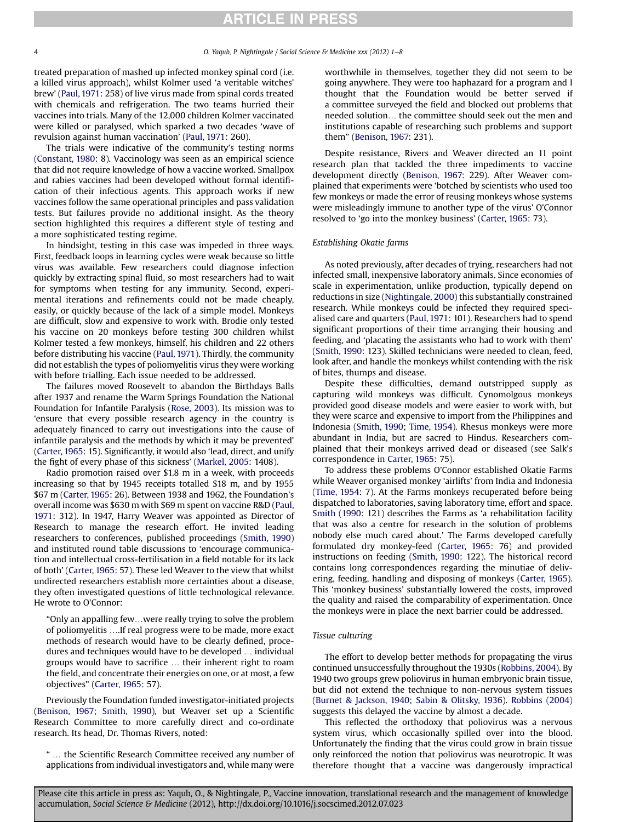## **ARTICLE IN PRESS**

treated preparation of mashed up infected monkey spinal cord (i.e. a killed virus approach), whilst Kolmer used 'a veritable witches' brew' [\(Paul, 1971:](#page-8-0) 258) of live virus made from spinal cords treated with chemicals and refrigeration. The two teams hurried their vaccines into trials. Many of the 12,000 children Kolmer vaccinated were killed or paralysed, which sparked a two decades 'wave of revulsion against human vaccination' [\(Paul, 1971](#page-8-0): 260).

The trials were indicative of the community's testing norms ([Constant, 1980:](#page-7-0) 8). Vaccinology was seen as an empirical science that did not require knowledge of how a vaccine worked. Smallpox and rabies vaccines had been developed without formal identification of their infectious agents. This approach works if new vaccines follow the same operational principles and pass validation tests. But failures provide no additional insight. As the theory section highlighted this requires a different style of testing and a more sophisticated testing regime.

In hindsight, testing in this case was impeded in three ways. First, feedback loops in learning cycles were weak because so little virus was available. Few researchers could diagnose infection quickly by extracting spinal fluid, so most researchers had to wait for symptoms when testing for any immunity. Second, experimental iterations and refinements could not be made cheaply, easily, or quickly because of the lack of a simple model. Monkeys are difficult, slow and expensive to work with. Brodie only tested his vaccine on 20 monkeys before testing 300 children whilst Kolmer tested a few monkeys, himself, his children and 22 others before distributing his vaccine [\(Paul, 1971\)](#page-8-0). Thirdly, the community did not establish the types of poliomyelitis virus they were working with before trialling. Each issue needed to be addressed.

The failures moved Roosevelt to abandon the Birthdays Balls after 1937 and rename the Warm Springs Foundation the National Foundation for Infantile Paralysis [\(Rose, 2003\)](#page-8-0). Its mission was to 'ensure that every possible research agency in the country is adequately financed to carry out investigations into the cause of infantile paralysis and the methods by which it may be prevented' ([Carter, 1965](#page-7-0): 15). Significantly, it would also 'lead, direct, and unify the fight of every phase of this sickness' [\(Markel, 2005](#page-7-0): 1408).

Radio promotion raised over \$1.8 m in a week, with proceeds increasing so that by 1945 receipts totalled \$18 m, and by 1955 \$67 m [\(Carter, 1965:](#page-7-0) 26). Between 1938 and 1962, the Foundation's overall income was \$630 m with \$69 m spent on vaccine R&D ([Paul,](#page-8-0) [1971:](#page-8-0) 312). In 1947, Harry Weaver was appointed as Director of Research to manage the research effort. He invited leading researchers to conferences, published proceedings [\(Smith, 1990\)](#page-8-0) and instituted round table discussions to 'encourage communication and intellectual cross-fertilisation in a field notable for its lack of both' [\(Carter, 1965:](#page-7-0) 57). These led Weaver to the view that whilst undirected researchers establish more certainties about a disease, they often investigated questions of little technological relevance. He wrote to O'Connor:

"Only an appalling few...were really trying to solve the problem of poliomyelitis ..If real progress were to be made, more exact methods of research would have to be clearly defined, procedures and techniques would have to be developed ... individual groups would have to sacrifice ... their inherent right to roam the field, and concentrate their energies on one, or at most, a few objectives" ([Carter, 1965](#page-7-0): 57).

Previously the Foundation funded investigator-initiated projects ([Benison, 1967;](#page-7-0) [Smith, 1990](#page-8-0)), but Weaver set up a Scientific Research Committee to more carefully direct and co-ordinate research. Its head, Dr. Thomas Rivers, noted:

" ... the Scientific Research Committee received any number of applications from individual investigators and, while many were worthwhile in themselves, together they did not seem to be going anywhere. They were too haphazard for a program and I thought that the Foundation would be better served if a committee surveyed the field and blocked out problems that needed solution. the committee should seek out the men and institutions capable of researching such problems and support them" ([Benison, 1967:](#page-7-0) 231).

Despite resistance, Rivers and Weaver directed an 11 point research plan that tackled the three impediments to vaccine development directly [\(Benison, 1967:](#page-7-0) 229). After Weaver complained that experiments were 'botched by scientists who used too few monkeys or made the error of reusing monkeys whose systems were misleadingly immune to another type of the virus' O'Connor resolved to 'go into the monkey business' [\(Carter, 1965](#page-7-0): 73).

#### Establishing Okatie farms

As noted previously, after decades of trying, researchers had not infected small, inexpensive laboratory animals. Since economies of scale in experimentation, unlike production, typically depend on reductions in size ([Nightingale, 2000\)](#page-8-0) this substantially constrained research. While monkeys could be infected they required specialised care and quarters ([Paul, 1971:](#page-8-0) 101). Researchers had to spend significant proportions of their time arranging their housing and feeding, and 'placating the assistants who had to work with them' ([Smith, 1990](#page-8-0): 123). Skilled technicians were needed to clean, feed, look after, and handle the monkeys whilst contending with the risk of bites, thumps and disease.

Despite these difficulties, demand outstripped supply as capturing wild monkeys was difficult. Cynomolgous monkeys provided good disease models and were easier to work with, but they were scarce and expensive to import from the Philippines and Indonesia [\(Smith, 1990](#page-8-0); [Time, 1954\)](#page-8-0). Rhesus monkeys were more abundant in India, but are sacred to Hindus. Researchers complained that their monkeys arrived dead or diseased (see Salk's correspondence in [Carter, 1965](#page-7-0): 75).

To address these problems O'Connor established Okatie Farms while Weaver organised monkey 'airlifts' from India and Indonesia ([Time, 1954:](#page-8-0) 7). At the Farms monkeys recuperated before being dispatched to laboratories, saving laboratory time, effort and space. [Smith \(1990:](#page-8-0) 121) describes the Farms as 'a rehabilitation facility that was also a centre for research in the solution of problems nobody else much cared about.' The Farms developed carefully formulated dry monkey-feed ([Carter, 1965:](#page-7-0) 76) and provided instructions on feeding [\(Smith, 1990:](#page-8-0) 122). The historical record contains long correspondences regarding the minutiae of delivering, feeding, handling and disposing of monkeys [\(Carter, 1965\)](#page-7-0). This 'monkey business' substantially lowered the costs, improved the quality and raised the comparability of experimentation. Once the monkeys were in place the next barrier could be addressed.

#### Tissue culturing

The effort to develop better methods for propagating the virus continued unsuccessfully throughout the 1930s ([Robbins, 2004\)](#page-8-0). By 1940 two groups grew poliovirus in human embryonic brain tissue, but did not extend the technique to non-nervous system tissues ([Burnet & Jackson, 1940](#page-7-0); [Sabin & Olitsky, 1936](#page-8-0)). [Robbins \(2004\)](#page-8-0) suggests this delayed the vaccine by almost a decade.

This reflected the orthodoxy that poliovirus was a nervous system virus, which occasionally spilled over into the blood. Unfortunately the finding that the virus could grow in brain tissue only reinforced the notion that poliovirus was neurotropic. It was therefore thought that a vaccine was dangerously impractical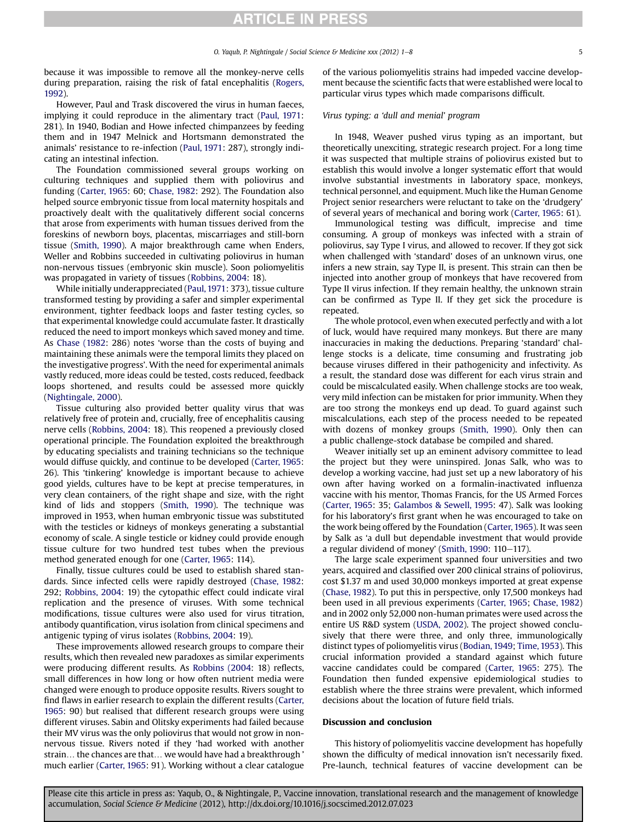because it was impossible to remove all the monkey-nerve cells during preparation, raising the risk of fatal encephalitis [\(Rogers,](#page-8-0) [1992\)](#page-8-0).

However, Paul and Trask discovered the virus in human faeces, implying it could reproduce in the alimentary tract ([Paul, 1971:](#page-8-0) 281). In 1940, Bodian and Howe infected chimpanzees by feeding them and in 1947 Melnick and Hortsmann demonstrated the animals' resistance to re-infection ([Paul, 1971:](#page-8-0) 287), strongly indicating an intestinal infection.

The Foundation commissioned several groups working on culturing techniques and supplied them with poliovirus and funding ([Carter, 1965](#page-7-0): 60; [Chase, 1982:](#page-7-0) 292). The Foundation also helped source embryonic tissue from local maternity hospitals and proactively dealt with the qualitatively different social concerns that arose from experiments with human tissues derived from the foreskins of newborn boys, placentas, miscarriages and still-born tissue [\(Smith, 1990](#page-8-0)). A major breakthrough came when Enders, Weller and Robbins succeeded in cultivating poliovirus in human non-nervous tissues (embryonic skin muscle). Soon poliomyelitis was propagated in variety of tissues [\(Robbins, 2004](#page-8-0): 18).

While initially underappreciated ([Paul, 1971](#page-8-0): 373), tissue culture transformed testing by providing a safer and simpler experimental environment, tighter feedback loops and faster testing cycles, so that experimental knowledge could accumulate faster. It drastically reduced the need to import monkeys which saved money and time. As [Chase \(1982:](#page-7-0) 286) notes 'worse than the costs of buying and maintaining these animals were the temporal limits they placed on the investigative progress'. With the need for experimental animals vastly reduced, more ideas could be tested, costs reduced, feedback loops shortened, and results could be assessed more quickly ([Nightingale, 2000](#page-8-0)).

Tissue culturing also provided better quality virus that was relatively free of protein and, crucially, free of encephalitis causing nerve cells ([Robbins, 2004:](#page-8-0) 18). This reopened a previously closed operational principle. The Foundation exploited the breakthrough by educating specialists and training technicians so the technique would diffuse quickly, and continue to be developed ([Carter, 1965:](#page-7-0) 26). This 'tinkering' knowledge is important because to achieve good yields, cultures have to be kept at precise temperatures, in very clean containers, of the right shape and size, with the right kind of lids and stoppers ([Smith, 1990\)](#page-8-0). The technique was improved in 1953, when human embryonic tissue was substituted with the testicles or kidneys of monkeys generating a substantial economy of scale. A single testicle or kidney could provide enough tissue culture for two hundred test tubes when the previous method generated enough for one [\(Carter, 1965:](#page-7-0) 114).

Finally, tissue cultures could be used to establish shared standards. Since infected cells were rapidly destroyed [\(Chase, 1982:](#page-7-0) 292; [Robbins, 2004](#page-8-0): 19) the cytopathic effect could indicate viral replication and the presence of viruses. With some technical modifications, tissue cultures were also used for virus titration, antibody quantification, virus isolation from clinical specimens and antigenic typing of virus isolates [\(Robbins, 2004:](#page-8-0) 19).

These improvements allowed research groups to compare their results, which then revealed new paradoxes as similar experiments were producing different results. As [Robbins \(2004](#page-8-0): 18) reflects, small differences in how long or how often nutrient media were changed were enough to produce opposite results. Rivers sought to find flaws in earlier research to explain the different results [\(Carter,](#page-7-0) [1965:](#page-7-0) 90) but realised that different research groups were using different viruses. Sabin and Olitsky experiments had failed because their MV virus was the only poliovirus that would not grow in nonnervous tissue. Rivers noted if they 'had worked with another strain... the chances are that... we would have had a breakthrough ' much earlier [\(Carter, 1965:](#page-7-0) 91). Working without a clear catalogue of the various poliomyelitis strains had impeded vaccine development because the scientific facts that were established were local to particular virus types which made comparisons difficult.

#### Virus typing: a 'dull and menial' program

In 1948, Weaver pushed virus typing as an important, but theoretically unexciting, strategic research project. For a long time it was suspected that multiple strains of poliovirus existed but to establish this would involve a longer systematic effort that would involve substantial investments in laboratory space, monkeys, technical personnel, and equipment. Much like the Human Genome Project senior researchers were reluctant to take on the 'drudgery' of several years of mechanical and boring work ([Carter, 1965:](#page-7-0) 61).

Immunological testing was difficult, imprecise and time consuming. A group of monkeys was infected with a strain of poliovirus, say Type I virus, and allowed to recover. If they got sick when challenged with 'standard' doses of an unknown virus, one infers a new strain, say Type II, is present. This strain can then be injected into another group of monkeys that have recovered from Type II virus infection. If they remain healthy, the unknown strain can be confirmed as Type II. If they get sick the procedure is repeated.

The whole protocol, even when executed perfectly and with a lot of luck, would have required many monkeys. But there are many inaccuracies in making the deductions. Preparing 'standard' challenge stocks is a delicate, time consuming and frustrating job because viruses differed in their pathogenicity and infectivity. As a result, the standard dose was different for each virus strain and could be miscalculated easily. When challenge stocks are too weak, very mild infection can be mistaken for prior immunity. When they are too strong the monkeys end up dead. To guard against such miscalculations, each step of the process needed to be repeated with dozens of monkey groups [\(Smith, 1990](#page-8-0)). Only then can a public challenge-stock database be compiled and shared.

Weaver initially set up an eminent advisory committee to lead the project but they were uninspired. Jonas Salk, who was to develop a working vaccine, had just set up a new laboratory of his own after having worked on a formalin-inactivated influenza vaccine with his mentor, Thomas Francis, for the US Armed Forces ([Carter, 1965:](#page-7-0) 35; [Galambos & Sewell, 1995](#page-7-0): 47). Salk was looking for his laboratory's first grant when he was encouraged to take on the work being offered by the Foundation ([Carter, 1965\)](#page-7-0). It was seen by Salk as 'a dull but dependable investment that would provide a regular dividend of money' ([Smith, 1990](#page-8-0): 110-117).

The large scale experiment spanned four universities and two years, acquired and classified over 200 clinical strains of poliovirus, cost \$1.37 m and used 30,000 monkeys imported at great expense ([Chase, 1982\)](#page-7-0). To put this in perspective, only 17,500 monkeys had been used in all previous experiments ([Carter, 1965](#page-7-0); [Chase, 1982\)](#page-7-0) and in 2002 only 52,000 non-human primates were used across the entire US R&D system [\(USDA, 2002\)](#page-8-0). The project showed conclusively that there were three, and only three, immunologically distinct types of poliomyelitis virus [\(Bodian, 1949](#page-7-0); [Time, 1953](#page-8-0)). This crucial information provided a standard against which future vaccine candidates could be compared ([Carter, 1965](#page-7-0): 275). The Foundation then funded expensive epidemiological studies to establish where the three strains were prevalent, which informed decisions about the location of future field trials.

#### Discussion and conclusion

This history of poliomyelitis vaccine development has hopefully shown the difficulty of medical innovation isn't necessarily fixed. Pre-launch, technical features of vaccine development can be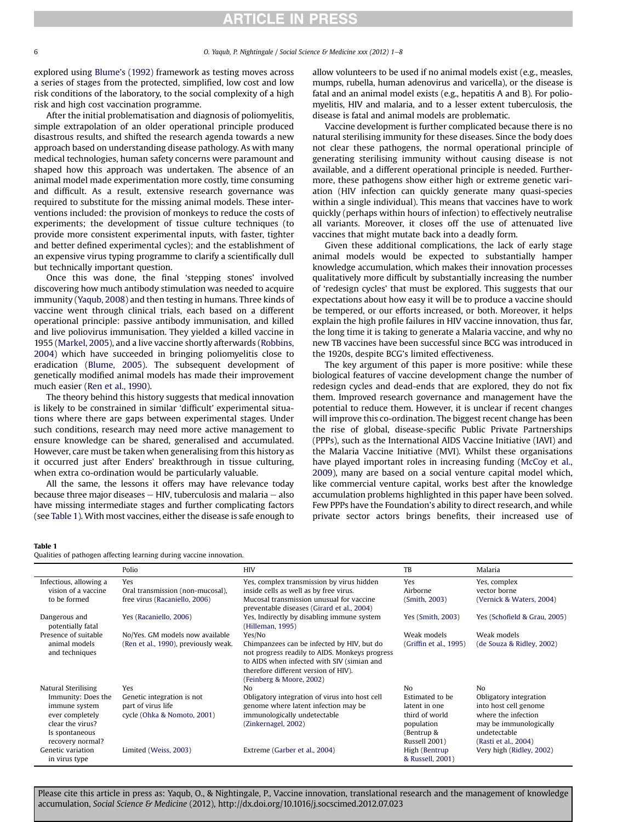# **RTICLE IN PRESS**

explored using Blume'[s \(1992\)](#page-7-0) framework as testing moves across a series of stages from the protected, simplified, low cost and low risk conditions of the laboratory, to the social complexity of a high risk and high cost vaccination programme.

After the initial problematisation and diagnosis of poliomyelitis, simple extrapolation of an older operational principle produced disastrous results, and shifted the research agenda towards a new approach based on understanding disease pathology. As with many medical technologies, human safety concerns were paramount and shaped how this approach was undertaken. The absence of an animal model made experimentation more costly, time consuming and difficult. As a result, extensive research governance was required to substitute for the missing animal models. These interventions included: the provision of monkeys to reduce the costs of experiments; the development of tissue culture techniques (to provide more consistent experimental inputs, with faster, tighter and better defined experimental cycles); and the establishment of an expensive virus typing programme to clarify a scientifically dull but technically important question.

Once this was done, the final 'stepping stones' involved discovering how much antibody stimulation was needed to acquire immunity ([Yaqub, 2008\)](#page-8-0) and then testing in humans. Three kinds of vaccine went through clinical trials, each based on a different operational principle: passive antibody immunisation, and killed and live poliovirus immunisation. They yielded a killed vaccine in 1955 [\(Markel, 2005](#page-7-0)), and a live vaccine shortly afterwards ([Robbins,](#page-8-0) [2004](#page-8-0)) which have succeeded in bringing poliomyelitis close to eradication [\(Blume, 2005](#page-7-0)). The subsequent development of genetically modified animal models has made their improvement much easier [\(Ren et al., 1990\)](#page-8-0).

The theory behind this history suggests that medical innovation is likely to be constrained in similar 'difficult' experimental situations where there are gaps between experimental stages. Under such conditions, research may need more active management to ensure knowledge can be shared, generalised and accumulated. However, care must be taken when generalising from this history as it occurred just after Enders' breakthrough in tissue culturing, when extra co-ordination would be particularly valuable.

All the same, the lessons it offers may have relevance today because three major diseases  $-$  HIV, tuberculosis and malaria  $-$  also have missing intermediate stages and further complicating factors (see Table 1). With most vaccines, either the disease is safe enough to

allow volunteers to be used if no animal models exist (e.g., measles, mumps, rubella, human adenovirus and varicella), or the disease is fatal and an animal model exists (e.g., hepatitis A and B). For poliomyelitis, HIV and malaria, and to a lesser extent tuberculosis, the disease is fatal and animal models are problematic.

Vaccine development is further complicated because there is no natural sterilising immunity for these diseases. Since the body does not clear these pathogens, the normal operational principle of generating sterilising immunity without causing disease is not available, and a different operational principle is needed. Furthermore, these pathogens show either high or extreme genetic variation (HIV infection can quickly generate many quasi-species within a single individual). This means that vaccines have to work quickly (perhaps within hours of infection) to effectively neutralise all variants. Moreover, it closes off the use of attenuated live vaccines that might mutate back into a deadly form.

Given these additional complications, the lack of early stage animal models would be expected to substantially hamper knowledge accumulation, which makes their innovation processes qualitatively more difficult by substantially increasing the number of 'redesign cycles' that must be explored. This suggests that our expectations about how easy it will be to produce a vaccine should be tempered, or our efforts increased, or both. Moreover, it helps explain the high profile failures in HIV vaccine innovation, thus far, the long time it is taking to generate a Malaria vaccine, and why no new TB vaccines have been successful since BCG was introduced in the 1920s, despite BCG's limited effectiveness.

The key argument of this paper is more positive: while these biological features of vaccine development change the number of redesign cycles and dead-ends that are explored, they do not fix them. Improved research governance and management have the potential to reduce them. However, it is unclear if recent changes will improve this co-ordination. The biggest recent change has been the rise of global, disease-specific Public Private Partnerships (PPPs), such as the International AIDS Vaccine Initiative (IAVI) and the Malaria Vaccine Initiative (MVI). Whilst these organisations have played important roles in increasing funding [\(McCoy et al.,](#page-7-0) [2009](#page-7-0)), many are based on a social venture capital model which, like commercial venture capital, works best after the knowledge accumulation problems highlighted in this paper have been solved. Few PPPs have the Foundation's ability to direct research, and while private sector actors brings benefits, their increased use of

#### Table 1

| Qualities of pathogen affecting learning during vaccine innovation. |  |  |
|---------------------------------------------------------------------|--|--|
|---------------------------------------------------------------------|--|--|

|                                     | Polio                                            | <b>HIV</b>                                                                                                                                                                                                     | TB                                 | Malaria                                         |
|-------------------------------------|--------------------------------------------------|----------------------------------------------------------------------------------------------------------------------------------------------------------------------------------------------------------------|------------------------------------|-------------------------------------------------|
| Infectious, allowing a              | Yes                                              | Yes, complex transmission by virus hidden                                                                                                                                                                      | Yes                                | Yes, complex                                    |
| vision of a vaccine                 | Oral transmission (non-mucosal),                 | inside cells as well as by free virus.                                                                                                                                                                         | Airborne                           | vector borne                                    |
| to be formed                        | free virus (Racaniello, 2006)                    | Mucosal transmission unusual for vaccine<br>preventable diseases (Girard et al., 2004)                                                                                                                         | (Smith, 2003)                      | (Vernick & Waters, 2004)                        |
| Dangerous and<br>potentially fatal  | Yes (Racaniello, 2006)                           | Yes, Indirectly by disabling immune system<br>(Hilleman, 1995)                                                                                                                                                 | Yes (Smith, 2003)                  | Yes (Schofield & Grau, 2005)                    |
| Presence of suitable                | No/Yes, GM models now available                  | Yes/No                                                                                                                                                                                                         | Weak models                        | Weak models                                     |
| animal models<br>and techniques     | (Ren et al., 1990), previously weak.             | Chimpanzees can be infected by HIV, but do<br>not progress readily to AIDS. Monkeys progress<br>to AIDS when infected with SIV (simian and<br>therefore different version of HIV).<br>(Feinberg & Moore, 2002) | (Griffin et al., 1995)             | (de Souza & Ridley, 2002)                       |
| Natural Sterilising                 | Yes                                              | No                                                                                                                                                                                                             | N <sub>0</sub>                     | N <sub>0</sub>                                  |
| Immunity: Does the<br>immune system | Genetic integration is not<br>part of virus life | Obligatory integration of virus into host cell<br>genome where latent infection may be                                                                                                                         | Estimated to be<br>latent in one   | Obligatory integration<br>into host cell genome |
| ever completely                     | cycle (Ohka & Nomoto, 2001)                      | immunologically undetectable                                                                                                                                                                                   | third of world                     | where the infection                             |
| clear the virus?                    |                                                  | (Zinkernagel, 2002)                                                                                                                                                                                            | population                         | may be immunologically                          |
| Is spontaneous                      |                                                  |                                                                                                                                                                                                                | (Bentrup &                         | undetectable                                    |
| recovery normal?                    |                                                  |                                                                                                                                                                                                                | Russell 2001)                      | (Rasti et al., 2004)                            |
| Genetic variation<br>in virus type  | Limited (Weiss, 2003)                            | Extreme (Garber et al., 2004)                                                                                                                                                                                  | High (Bentrup)<br>& Russell, 2001) | Very high (Ridley, 2002)                        |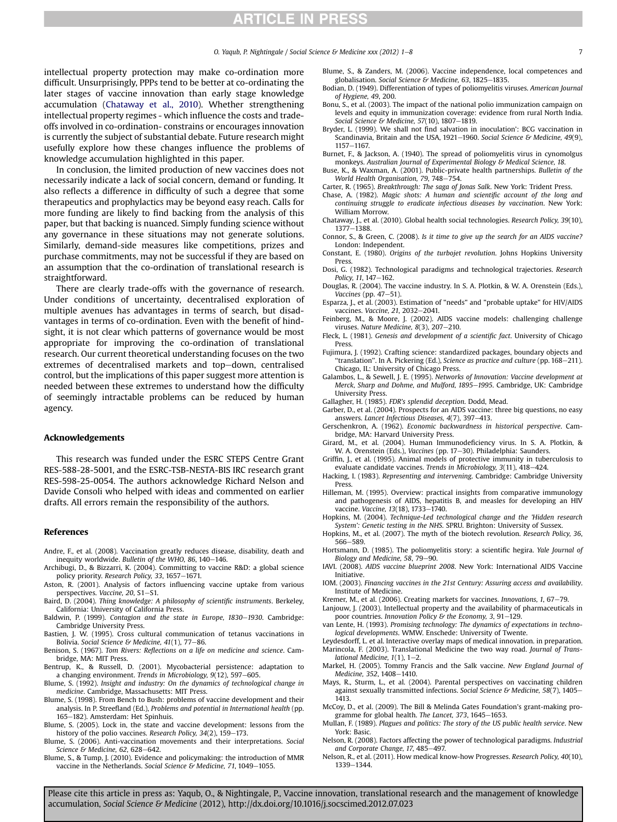<span id="page-7-0"></span>intellectual property protection may make co-ordination more difficult. Unsurprisingly, PPPs tend to be better at co-ordinating the later stages of vaccine innovation than early stage knowledge accumulation (Chataway et al., 2010). Whether strengthening intellectual property regimes - which influence the costs and tradeoffs involved in co-ordination- constrains or encourages innovation is currently the subject of substantial debate. Future research might usefully explore how these changes influence the problems of knowledge accumulation highlighted in this paper.

In conclusion, the limited production of new vaccines does not necessarily indicate a lack of social concern, demand or funding. It also reflects a difference in difficulty of such a degree that some therapeutics and prophylactics may be beyond easy reach. Calls for more funding are likely to find backing from the analysis of this paper, but that backing is nuanced. Simply funding science without any governance in these situations may not generate solutions. Similarly, demand-side measures like competitions, prizes and purchase commitments, may not be successful if they are based on an assumption that the co-ordination of translational research is straightforward.

There are clearly trade-offs with the governance of research. Under conditions of uncertainty, decentralised exploration of multiple avenues has advantages in terms of search, but disadvantages in terms of co-ordination. Even with the benefit of hindsight, it is not clear which patterns of governance would be most appropriate for improving the co-ordination of translational research. Our current theoretical understanding focuses on the two extremes of decentralised markets and top-down, centralised control, but the implications of this paper suggest more attention is needed between these extremes to understand how the difficulty of seemingly intractable problems can be reduced by human agency.

#### Acknowledgements

This research was funded under the ESRC STEPS Centre Grant RES-588-28-5001, and the ESRC-TSB-NESTA-BIS IRC research grant RES-598-25-0054. The authors acknowledge Richard Nelson and Davide Consoli who helped with ideas and commented on earlier drafts. All errors remain the responsibility of the authors.

#### References

- Andre, F., et al. (2008). Vaccination greatly reduces disease, disability, death and inequity worldwide. Bulletin of the WHO, 86,  $140-146$ .
- Archibugi, D., & Bizzarri, K. (2004). Committing to vaccine R&D: a global science policy priority. Research Policy, 33, 1657-1671.
- Aston, R. (2001). Analysis of factors influencing vaccine uptake from various
- perspectives. Vaccine, 20, S1–S1.<br>Baird, D. (2004). Thing knowledge: A philosophy of scientific instruments. Berkeley, California: University of California Press.
- Baldwin, P. (1999). Contagion and the state in Europe, 1830-1930. Cambridge: Cambridge University Press.
- Bastien, J. W. (1995). Cross cultural communication of tetanus vaccinations in Bolivia. Social Science & Medicine,  $41(1)$ , 77-86.
- Benison, S. (1967). Tom Rivers: Reflections on a life on medicine and science. Cambridge, MA: MIT Press.
- Bentrup, K., & Russell, D. (2001). Mycobacterial persistence: adaptation to a changing environment. Trends in Microbiology, 9(12), 597-605.
- Blume, S. (1992). Insight and industry: On the dynamics of technological change in medicine. Cambridge, Massachusetts: MIT Press.
- Blume, S. (1998). From Bench to Bush: problems of vaccine development and their analysis. In P. Streefland (Ed.), Problems and potential in International health (pp. 165-182). Amsterdam: Het Spinhuis.
- Blume, S. (2005). Lock in, the state and vaccine development: lessons from the history of the polio vaccines. Research Policy, 34(2), 159-173.
- Blume, S. (2006). Anti-vaccination movements and their interpretations. Social Science & Medicine, 62, 628-642.
- Blume, S., & Tump, J. (2010). Evidence and policymaking: the introduction of MMR vaccine in the Netherlands. Social Science & Medicine, 71, 1049-1055.
- Blume, S., & Zanders, M. (2006). Vaccine independence, local competences and globalisation. Social Science & Medicine, 63, 1825-1835.
- Bodian, D. (1949). Differentiation of types of poliomyelitis viruses. American Journal of Hygiene, 49, 200.
- Bonu, S., et al. (2003). The impact of the national polio immunization campaign on levels and equity in immunization coverage: evidence from rural North India. Social Science & Medicine,  $57(10)$ ,  $1807-1819$ .
- Bryder, L. (1999). We shall not find salvation in inoculation': BCG vaccination in Scandinavia, Britain and the USA, 1921-1960. Social Science & Medicine, 49(9), 1157-1167.
- Burnet, F., & Jackson, A. (1940). The spread of poliomyelitis virus in cynomolgus monkeys. Australian Journal of Experimental Biology & Medical Science, 18.
- Buse, K., & Waxman, A. (2001). Public-private health partnerships. Bulletin of the World Health Organisation, 79, 748-754.
- Carter, R. (1965). Breakthrough: The saga of Jonas Salk. New York: Trident Press.
- Chase, A. (1982). Magic shots: A human and scientific account of the long and continuing struggle to eradicate infectious diseases by vaccination. New York: William Morrow.
- Chataway, J., et al. (2010). Global health social technologies. Research Policy, 39(10).<br>1377–1388.
- Connor, S., & Green, C. (2008). Is it time to give up the search for an AIDS vaccine? London: Independent.
- Constant, E. (1980). Origins of the turbojet revolution. Johns Hopkins University Press.
- Dosi, G. (1982). Technological paradigms and technological trajectories. Research Policy, 11, 147-162.
- Douglas, R. (2004). The vaccine industry. In S. A. Plotkin, & W. A. Orenstein (Eds.), Vaccines (pp.  $47-51$ ).
- Esparza, J., et al. (2003). Estimation of "needs" and "probable uptake" for HIV/AIDS vaccines. Vaccine, 21, 2032-2041.
- Feinberg, M., & Moore, J. (2002). AIDS vaccine models: challenging challenge viruses. Nature Medicine, 8(3), 207-210.
- Fleck, L. (1981). Genesis and development of a scientific fact. University of Chicago Press.
- Fujimura, J. (1992). Crafting science: standardized packages, boundary objects and "translation". In A. Pickering (Ed.), Science as practice and culture (pp. 168-211). Chicago, IL: University of Chicago Press.
- Galambos, L., & Sewell, J. E. (1995). Networks of Innovation: Vaccine development at Merck, Sharp and Dohme, and Mulford, 1895-1995. Cambridge, UK: Cambridge University Press.
- Gallagher, H. (1985). FDR's splendid deception. Dodd, Mead.
- Garber, D., et al. (2004). Prospects for an AIDS vaccine: three big questions, no easy answers. Lancet Infectious Diseases, 4(7), 397-413.
- Gerschenkron, A. (1962). Economic backwardness in historical perspective. Cambridge, MA: Harvard University Press.
- Girard, M., et al. (2004). Human Immunodeficiency virus. In S. A. Plotkin, & W. A. Orenstein (Eds.), Vaccines (pp. 17-30). Philadelphia: Saunders.
- Griffin, J., et al. (1995). Animal models of protective immunity in tuberculosis to evaluate candidate vaccines. Trends in Microbiology, 3(11), 418-424
- Hacking, I. (1983). Representing and intervening. Cambridge: Cambridge University Press.
- Hilleman, M. (1995). Overview: practical insights from comparative immunology and pathogenesis of AIDS, hepatitis B, and measles for developing an HIV vaccine. Vaccine, 13(18), 1733-1740.
- Hopkins, M. (2004). Technique-Led technological change and the 'Hidden research System': Genetic testing in the NHS. SPRU. Brighton: University of Sussex.
- Hopkins, M., et al. (2007). The myth of the biotech revolution. Research Policy, 36, 566-589
- Hortsmann, D. (1985). The poliomyelitis story: a scientific hegira. Yale Journal of Biology and Medicine, 58, 79-90.
- IAVI. (2008). AIDS vaccine blueprint 2008. New York: International AIDS Vaccine Initiative.
- IOM. (2003). Financing vaccines in the 21st Century: Assuring access and availability. Institute of Medicine.
- Kremer, M., et al. (2006). Creating markets for vaccines. Innovations, 1, 67-79.
- Lanjouw, J. (2003). Intellectual property and the availability of pharmaceuticals in poor countries. Innovation Policy & the Economy, 3, 91-129.
- van Lente, H. (1993). Promising technology: The dynamics of expectations in technological developments. WMW. Enschede: University of Twente.
- Leydesdorff, L. et al. Interactive overlay maps of medical innovation. in preparation. Marincola, F. (2003). Translational Medicine the two way road. Journal of Trans-
- lational Medicine,  $1(1)$ ,  $1-2$ .
- Markel, H. (2005). Tommy Francis and the Salk vaccine. New England Journal of Medicine, 352, 1408-1410.
- Mays, R., Sturm, L., et al. (2004). Parental perspectives on vaccinating children against sexually transmitted infections. Social Science & Medicine,  $58(7)$ , 1405– 1413.
- McCoy, D., et al. (2009). The Bill & Melinda Gates Foundation's grant-making programme for global health. The Lancet, 373, 1645-1653.
- Mullan, F. (1989). Plagues and politics: The story of the US public health service. New York: Basic.
- Nelson, R. (2008). Factors affecting the power of technological paradigms. *Industrial* and Corporate Change, 17, 485–497.
- Nelson, R., et al. (2011). How medical know-how Progresses. Research Policy, 40(10), 1339-1344.